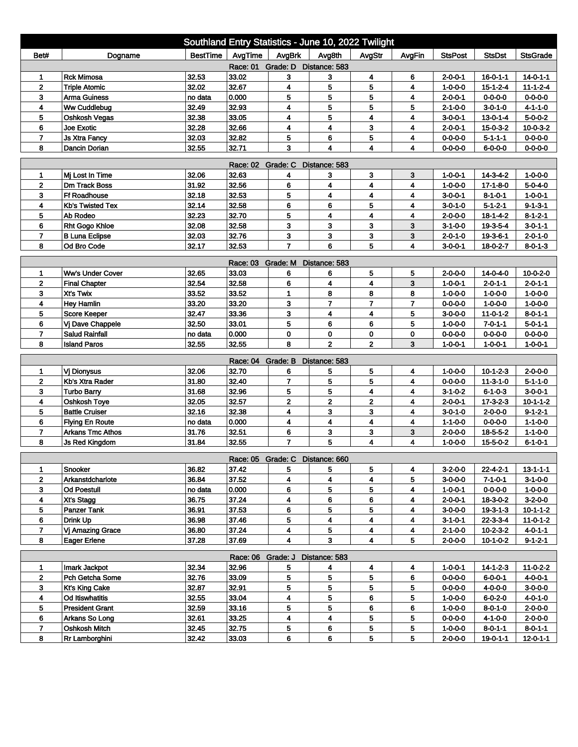|                                                                                                                   |                                          |          |                            | Southland Entry Statistics - June 10, 2022 Twilight |                |                         |                |                                    |                            |                               |  |
|-------------------------------------------------------------------------------------------------------------------|------------------------------------------|----------|----------------------------|-----------------------------------------------------|----------------|-------------------------|----------------|------------------------------------|----------------------------|-------------------------------|--|
| Bet#                                                                                                              | Dogname                                  | BestTime | AvgTime                    | AvgBrk                                              | Avg8th         | AvgStr                  | AvgFin         | <b>StsPost</b>                     | <b>StsDst</b>              | <b>StsGrade</b>               |  |
| Race: 01 Grade: D Distance: 583                                                                                   |                                          |          |                            |                                                     |                |                         |                |                                    |                            |                               |  |
| 1                                                                                                                 | <b>Rck Mimosa</b>                        | 32.53    | 33.02                      | 3                                                   | 3              | 4                       | 6              | $2 - 0 - 0 - 1$                    | $16 - 0 - 1 - 1$           | $14 - 0 - 1 - 1$              |  |
| $\mathbf{2}$                                                                                                      | <b>Triple Atomic</b>                     | 32.02    | 32.67                      | 4                                                   | 5              | 5                       | 4              | $1 - 0 - 0 - 0$                    | $15 - 1 - 2 - 4$           | $11 - 1 - 2 - 4$              |  |
| 3                                                                                                                 | <b>Arma Guiness</b>                      | no data  | 0.000                      | 5                                                   | 5              | 5                       | 4              | $2 - 0 - 0 - 1$                    | $0 - 0 - 0 - 0$            | $0 - 0 - 0 - 0$               |  |
| 4                                                                                                                 | Ww Cuddlebug                             | 32.49    | 32.93                      | 4                                                   | 5              | 5                       | 5              | $2 - 1 - 0 - 0$                    | $3 - 0 - 1 - 0$            | $4 - 1 - 1 - 0$               |  |
| 5                                                                                                                 | Oshkosh Vegas                            | 32.38    | 33.05                      | 4                                                   | 5              | 4                       | 4              | 3-0-0-1                            | $13 - 0 - 1 - 4$           | $5 - 0 - 0 - 2$               |  |
| 6                                                                                                                 | Joe Exotic                               | 32.28    | 32.66                      | 4                                                   | 4              | 3                       | 4              | $2 - 0 - 0 - 1$                    | $15 - 0 - 3 - 2$           | $10-0-3-2$                    |  |
| $\overline{7}$                                                                                                    | <b>Js Xtra Fancy</b>                     | 32.03    | 32.82                      | 5                                                   | 6              | 5                       | 4              | $0 - 0 - 0 - 0$                    | $5 - 1 - 1 - 1$            | $0 - 0 - 0 - 0$               |  |
| 3<br>8<br>Dancin Dorian<br>32.55<br>32.71<br>4<br>4<br>$0 - 0 - 0 - 0$<br>$6 - 0 - 0 - 0$<br>$0 - 0 - 0 - 0$<br>4 |                                          |          |                            |                                                     |                |                         |                |                                    |                            |                               |  |
| Race: 02 Grade: C<br>Distance: 583                                                                                |                                          |          |                            |                                                     |                |                         |                |                                    |                            |                               |  |
| 1                                                                                                                 | Mi Lost In Time                          | 32.06    | 32.63                      | 4                                                   | 3              | 3                       | 3              | 1-0-0-1                            | $14 - 3 - 4 - 2$           | $1 - 0 - 0 - 0$               |  |
| $\overline{2}$                                                                                                    | <b>Dm Track Boss</b>                     | 31.92    | 32.56                      | 6                                                   | 4              | 4                       | 4              | $1 - 0 - 0 - 0$                    | $17-1-8-0$                 | $5 - 0 - 4 - 0$               |  |
| 3                                                                                                                 | <b>Ff Roadhouse</b>                      | 32.18    | 32.53                      | 5                                                   | 4              | 4                       | 4              | $3 - 0 - 0 - 1$                    | $8 - 1 - 0 - 1$            | $1 - 0 - 0 - 1$               |  |
| 4                                                                                                                 | <b>Kb's Twisted Tex</b>                  | 32.14    | 32.58                      | 6                                                   | 6              | 5                       | 4              | 3-0-1-0                            | $5 - 1 - 2 - 1$            | $9 - 1 - 3 - 1$               |  |
| 5                                                                                                                 | Ab Rodeo                                 | 32.23    | 32.70                      | 5                                                   | 4              | 4                       | 4              | $2 - 0 - 0 - 0$                    | $18 - 1 - 4 - 2$           | $8 - 1 - 2 - 1$               |  |
| 6                                                                                                                 | <b>Rht Gogo Khloe</b>                    | 32.08    | 32.58                      | 3                                                   | 3              | 3                       | 3              | $3 - 1 - 0 - 0$                    | 19-3-5-4                   | $3 - 0 - 1 - 1$               |  |
| $\overline{7}$                                                                                                    | <b>B Luna Eclipse</b>                    | 32.03    | 32.76                      | 3                                                   | 3              | 3                       | 3              | $2 - 0 - 1 - 0$                    | 19-3-6-1                   | $2 - 0 - 1 - 0$               |  |
| 8                                                                                                                 | Od Bro Code                              | 32.17    | 32.53                      | $\overline{7}$                                      | 6              | 5                       | 4              | 3-0-0-1                            | 18-0-2-7                   | $8 - 0 - 1 - 3$               |  |
|                                                                                                                   |                                          |          | Race: 03 Grade: M          |                                                     | Distance: 583  |                         |                |                                    |                            |                               |  |
| 1                                                                                                                 | Ww's Under Cover                         | 32.65    | 33.03                      | 6                                                   | 6              | 5                       | 5              | $2 - 0 - 0 - 0$                    | $14 - 0 - 4 - 0$           | 10-0-2-0                      |  |
| $\mathbf 2$                                                                                                       | <b>Final Chapter</b>                     | 32.54    | 32.58                      | 6                                                   | 4              | 4                       | 3              | $1 - 0 - 0 - 1$                    | $2 - 0 - 1 - 1$            | $2 - 0 - 1 - 1$               |  |
| 3                                                                                                                 | Xt's Twix                                | 33.52    | 33.52                      | 1                                                   | 8              | 8                       | 8              | $1 - 0 - 0 - 0$                    | $1 - 0 - 0 - 0$            | $1 - 0 - 0 - 0$               |  |
| 4                                                                                                                 | <b>Hey Hamlin</b>                        | 33.20    | 33.20                      | 3                                                   | $\overline{7}$ | $\overline{7}$          | $\overline{7}$ | 0-0-0-0                            | $1 - 0 - 0 - 0$            | $1 - 0 - 0 - 0$               |  |
| 5                                                                                                                 | Score Keeper                             | 32.47    | 33.36                      | 3                                                   | 4              | 4                       | 5              | $3-0-0-0$                          | $11-0-1-2$                 | $8 - 0 - 1 - 1$               |  |
| 6                                                                                                                 | Vj Dave Chappele                         | 32.50    | 33.01                      | 5                                                   | 6              | 6                       | 5              | $1 - 0 - 0 - 0$                    | $7 - 0 - 1 - 1$            | $5 - 0 - 1 - 1$               |  |
| 7                                                                                                                 | <b>Salud Rainfall</b>                    | no data  | 0.000                      | 0                                                   | 0              | 0                       | 0              | $0 - 0 - 0 - 0$                    | 0-0-0-0                    | 0-0-0-0                       |  |
| 8                                                                                                                 | <b>Island Paros</b>                      | 32.55    | 32.55                      | 8                                                   | $\overline{2}$ | $\overline{2}$          | 3              | $1 - 0 - 0 - 1$                    | $1 - 0 - 0 - 1$            | $1 - 0 - 0 - 1$               |  |
|                                                                                                                   |                                          |          | Race: 04                   | Grade: B                                            | Distance: 583  |                         |                |                                    |                            |                               |  |
| 1                                                                                                                 | Vj Dionysus                              | 32.06    | 32.70                      | 6                                                   | 5              | 5                       | 4              | $1 - 0 - 0 - 0$                    | $10-1-2-3$                 | $2 - 0 - 0 - 0$               |  |
| $\mathbf{2}$                                                                                                      | Kb's Xtra Rader                          | 31.80    | 32.40                      | $\overline{7}$                                      | 5              | 5                       | 4              | $0 - 0 - 0 - 0$                    | $11-3-1-0$                 | $5 - 1 - 1 - 0$               |  |
| 3                                                                                                                 | <b>Turbo Barry</b>                       | 31.68    | 32.96                      | 5                                                   | 5              | 4                       | 4              | $3-1-0-2$                          | $6 - 1 - 0 - 3$            | $3 - 0 - 0 - 1$               |  |
| 4                                                                                                                 | Oshkosh Toye                             | 32.05    | 32.57                      | $\mathbf 2$                                         | 2              | 2                       | 4              | $2 - 0 - 0 - 1$                    | $17 - 3 - 2 - 3$           | $10 - 1 - 1 - 2$              |  |
| 5                                                                                                                 | <b>Battle Cruiser</b>                    | 32.16    | 32.38                      | 4                                                   | 3              | 3                       | 4              | 3-0-1-0                            | $2 - 0 - 0 - 0$            | $9 - 1 - 2 - 1$               |  |
| 6                                                                                                                 | <b>Flying En Route</b>                   | no data  | 0.000                      | 4                                                   | 4              | $\overline{\mathbf{4}}$ | 4              | $1 - 1 - 0 - 0$                    | $0 - 0 - 0 - 0$            | $1 - 1 - 0 - 0$               |  |
| $\overline{7}$                                                                                                    | <b>Arkans Tmc Athos</b>                  | 31.76    | 32.51                      | 6                                                   | 3              | 3                       | 3              | $2 - 0 - 0 - 0$                    | $18 - 5 - 5 - 2$           | $1 - 1 - 0 - 0$               |  |
| 8                                                                                                                 | <b>Js Red Kingdom</b>                    | 31.84    | 32.55                      | $\overline{7}$                                      | 5              | 4                       | 4              | $1 - 0 - 0 - 0$                    | 15-5-0-2                   | $6 - 1 - 0 - 1$               |  |
|                                                                                                                   |                                          |          |                            | Race: 05 Grade: C Distance: 660                     |                |                         |                |                                    |                            |                               |  |
| 1                                                                                                                 | Snooker                                  | 36.82    | 37.42                      | 5                                                   | 5              | 5                       | 4              | $3-2-0-0$                          | 22-4-2-1                   | $13 - 1 - 1$                  |  |
| $\mathbf{2}$                                                                                                      | Arkanstdcharlote                         | 36.84    | 37.52                      | 4                                                   | 4              | 4                       | 5              | $3 - 0 - 0 - 0$                    | $7 - 1 - 0 - 1$            | $3-1-0-0$                     |  |
| 3                                                                                                                 | <b>Od Poestull</b>                       | no data  | 0.000                      | 6                                                   | 5              | 5                       | 4              | $1 - 0 - 0 - 1$                    | $0 - 0 - 0 - 0$            | $1 - 0 - 0 - 0$               |  |
| 4                                                                                                                 | Xt's Stagg                               | 36.75    | 37.24                      | 4                                                   | 6              | 6                       | 4              | $2 - 0 - 0 - 1$                    | $18 - 3 - 0 - 2$           | $3-2-0-0$                     |  |
| 5                                                                                                                 | <b>Panzer Tank</b>                       | 36.91    | 37.53                      | 6                                                   | 5              | 5                       | 4              | $3 - 0 - 0 - 0$                    | $19 - 3 - 1 - 3$           | $10 - 1 - 1 - 2$              |  |
| 6                                                                                                                 | Drink Up                                 | 36.98    | 37.46                      | 5                                                   | 4              | 4                       | 4              | $3 - 1 - 0 - 1$                    | $22 - 3 - 3 - 4$           | 11-0-1-2                      |  |
| $\overline{7}$                                                                                                    | Vj Amazing Grace                         | 36.80    | 37.24                      | 4                                                   | 5              | 4                       | 4              | $2 - 1 - 0 - 0$                    | $10 - 2 - 3 - 2$           | $4 - 0 - 1 - 1$               |  |
| 8                                                                                                                 | <b>Eager Erlene</b>                      | 37.28    | 37.69                      | 4                                                   | 3              | 4                       | 5              | $2 - 0 - 0 - 0$                    | $10-1-0-2$                 | $9 - 1 - 2 - 1$               |  |
|                                                                                                                   |                                          |          |                            |                                                     |                |                         |                |                                    |                            |                               |  |
|                                                                                                                   | Imark Jackpot                            | 32.34    | Race: 06 Grade: J<br>32.96 |                                                     | Distance: 583  |                         |                |                                    |                            |                               |  |
| 1<br>$\mathbf{2}$                                                                                                 | Pch Getcha Some                          | 32.76    | 33.09                      | 5                                                   | 4<br>5         | 4<br>5                  | 4              | $1 - 0 - 0 - 1$<br>$0 - 0 - 0 - 0$ | $14 - 1 - 2 - 3$           | $11-0-2-2$<br>$4 - 0 - 0 - 1$ |  |
| 3                                                                                                                 |                                          | 32.87    | 32.91                      | 5<br>5                                              | 5              | 5                       | 6<br>5         | $0 - 0 - 0 - 0$                    | 6-0-0-1<br>$4 - 0 - 0 - 0$ | $3-0-0-0$                     |  |
| 4                                                                                                                 | <b>Kt's King Cake</b><br>Od Itiswhatitis | 32.55    | 33.04                      | 4                                                   | 5              | 6                       | 5              | $1 - 0 - 0 - 0$                    | $6 - 0 - 2 - 0$            | $4 - 0 - 1 - 0$               |  |
| 5                                                                                                                 | <b>President Grant</b>                   | 32.59    | 33.16                      | 5                                                   | 5              | 6                       | 6              | $1 - 0 - 0 - 0$                    | $8 - 0 - 1 - 0$            | $2 - 0 - 0 - 0$               |  |
| 6                                                                                                                 | Arkans So Long                           | 32.61    | 33.25                      | 4                                                   | 4              | 5                       | 5              | $0 - 0 - 0 - 0$                    | $4 - 1 - 0 - 0$            | $2 - 0 - 0 - 0$               |  |
| 7                                                                                                                 | Oshkosh Mitch                            | 32.45    | 32.75                      | 5                                                   | 6              | 5                       | 5              | $1 - 0 - 0 - 0$                    | $8 - 0 - 1 - 1$            | $8 - 0 - 1 - 1$               |  |
| 8                                                                                                                 | Rr Lamborghini                           | 32.42    | 33.03                      | 6                                                   | 6              | 5                       | 5              | $2 - 0 - 0 - 0$                    | 19-0-1-1                   | $12 - 0 - 1 - 1$              |  |
|                                                                                                                   |                                          |          |                            |                                                     |                |                         |                |                                    |                            |                               |  |